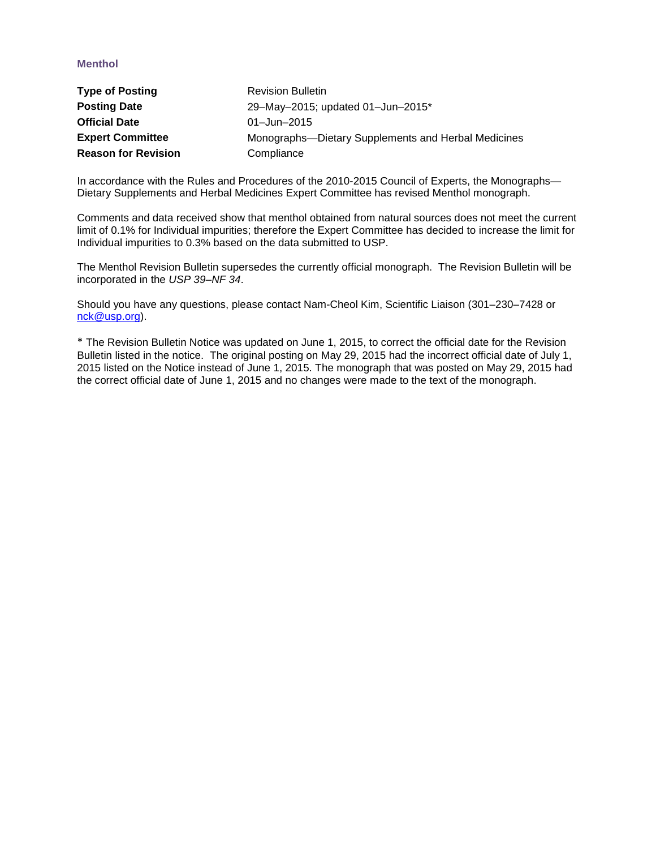# **Menthol**

| <b>Type of Posting</b>     | <b>Revision Bulletin</b>                            |
|----------------------------|-----------------------------------------------------|
| <b>Posting Date</b>        | 29-May-2015; updated 01-Jun-2015*                   |
| <b>Official Date</b>       | $01 - Jun - 2015$                                   |
| <b>Expert Committee</b>    | Monographs-Dietary Supplements and Herbal Medicines |
| <b>Reason for Revision</b> | Compliance                                          |

In accordance with the Rules and Procedures of the 2010-2015 Council of Experts, the Monographs— Dietary Supplements and Herbal Medicines Expert Committee has revised Menthol monograph.

Comments and data received show that menthol obtained from natural sources does not meet the current limit of 0.1% for Individual impurities; therefore the Expert Committee has decided to increase the limit for Individual impurities to 0.3% based on the data submitted to USP.

The Menthol Revision Bulletin supersedes the currently official monograph. The Revision Bulletin will be incorporated in the *USP 39–NF 34*.

Should you have any questions, please contact Nam-Cheol Kim, Scientific Liaison (301–230–7428 or [nck@usp.org\)](mailto:nck@usp.org).

\* The Revision Bulletin Notice was updated on June 1, 2015, to correct the official date for the Revision Bulletin listed in the notice. The original posting on May 29, 2015 had the incorrect official date of July 1, 2015 listed on the Notice instead of June 1, 2015. The monograph that was posted on May 29, 2015 had the correct official date of June 1, 2015 and no changes were made to the text of the monograph.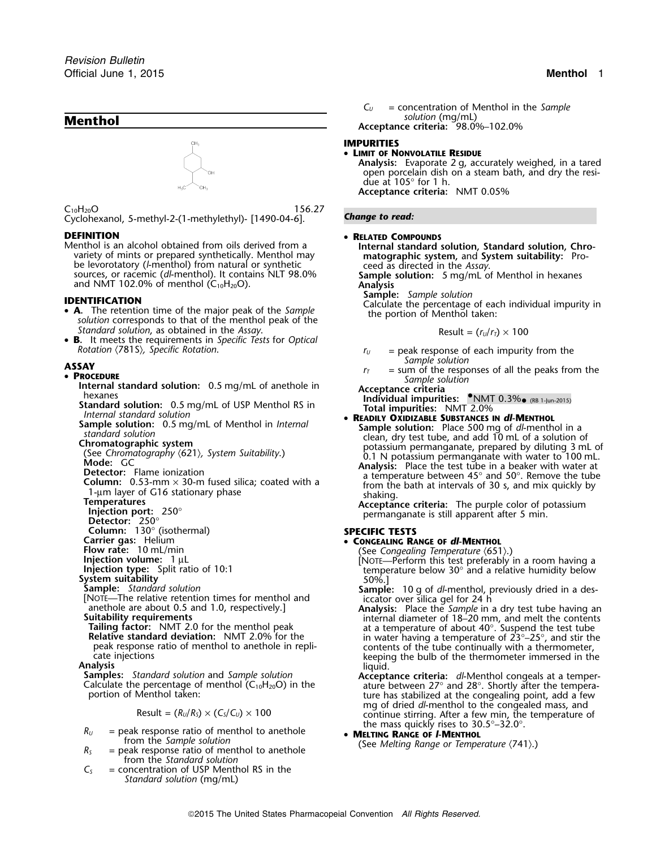

 $C_{10}H_{20}O$  156.27 Cyclohexanol, 5-methyl-2-(1-methylethyl)- [1490-04-6]. *Change to read:*

# **DEFINITION** •

Menthol is an alcohol obtained from oils derived from a<br>variety of mints or prepared synthetically. Menthol may<br>be levorotatory (*l*-menthol) from natural or synthetic<br>ceed as directed in the Assay.

- **<sup>A</sup>.** The retention time of the major peak of the *Sample* the portion of Menthol taken: *solution* corresponds to that of the menthol peak of the *Standard solution, as obtained in the Assay.*
- **B.** It meets the requirements in *Specific Tests* for *Optical Rotation*  $\langle 7815 \rangle$ , *Specific Rotation*.  $r_U =$  peak response of each impurity from the

- **Procedure Standard solution:** 0.5 mg/mL of anethole in **Acceptance criteria**<br> **PPP ART 0.3%•** (RB 1-Jun-2015)<br> **PPP ART 0.3%•** (RB 1-Jun-2015)<br> **PPP ART 0.3%•** (RB 1-Jun-2015)<br> **PPP ART 0.3%•** (RB 1-Jun-2015)
- Standard solution: 0.5 mg/mL of USP Menthol RS in<br>
Internal standard solution<br>
Sample solution: 0.5 mg/mL of Menthol in Internal<br> **Sample solution:** Place 500 mg of dl-menthol
- 
- 
- 
- 
- 
- 
- 
- 

**Column:** 130° (isothermal)<br>
Column: 130° (isothermal)<br>
Carrier gas: Helium **SPECIFIC TESTS** 

- 
- 
- 
- 

$$
Result = (R_U/R_S) \times (C_S/C_U) \times 100
$$

- $R_U$  = peak response ratio of menthol to anethole **••• MELLTING RANGE OF L-MENTHOL**<br>from the Sample solution **•• CALLTING RANGE OF TEMPLE**
- from the Sample solution<br> $R_5$  = peak response ratio of menthol to anethole (See Melting Range or Temperature  $(741)$ .) from the *Standard solution*
- $C<sub>S</sub>$  = concentration of USP Menthol RS in the *Standard solution* (mg/mL)

*C<sup>U</sup>* = concentration of Menthol in the *Sample* **Acceptance criteria:** 98.0%–102.0%

### **IMPURITIES**

## • **LIMIT OF NONVOLATILE RESIDUE**

**Analysis:** Evaporate 2 g, accurately weighed, in a tared open porcelain dish on a steam bath, and dry the residue at 105° for 1 h. **Acceptance criteria:** NMT 0.05%

### **RELATED COMPOUNDS**

sources, or racemic (dl-menthol). It contains NLT 98.0% Sample solution: 5 mg/mL of Menthol in hexanes<br>and NMT 102.0% of menthol (C<sub>10</sub>H<sub>20</sub>O). **Analysis** Analysis Sample: Sample solution

**SAMPLE SAMPLE SAMPLE SOLUT FIELD SOLUT FIELD SOLUTE SOLUTE SOLUTE SOLUTE SOLUTE SOLUTE SOLUTE SOLUTE SOLUTE SOLU<br>
<b>SAMPLE 2009** Calculate the percentage of each individual impurity in the portion of Menthol taken:

$$
Result = (r_U/r_T) \times 100
$$

- 
- **ASSAY**<br> **PROCEDURE PROCEDURE** *Sample solution r<sub>T</sub>* = sum of the responses of all the peaks from the *Sample solution*

- 
- Frame solution: 0.5 mg/mL of Menthol in *Internal*<br>
standard solution: 0.5 mg/mL of Menthol in *Internal*<br>
standard solution: Place 500 mg of d*l*-menthol in a<br>
standard solution changes solution<br>
Clear of the solution of

**Carrier gas:** Helium **• CONGEALING RANGE OF** *dl***-MENTHOL**<br>**Flow rate:** 10 mL/min **CONGEALING** (See Congealing Temperature (651)

- 
- 
- Flow rate: 10 mL/min<br>
Injection volume: 1 µL<br>
Injection volume: 1 µL<br>
Spit ratio of 10:1<br>
Spitem stability<br>
Spitem stability<br>
Sure Spitem stability<br>
Sure Spitem stability<br>
Sure Spitem stability<br>
Sure Spitem stability<br>
Sur meak response ratio of menthol to anethole in repli-<br>
cate injections<br>
cate injections<br>
cate injections<br>
cate injections<br>
cate intervalses:<br>
Standard solution and Sample solution<br>
Calculate the percentage of menthol (C<sub>10</sub>

portion of Menthol taken:<br>may of dried dl-menthol to the congealing point, add a few<br>may of dried dl-menthol to the congealed mass, and continue stirring. After a few min, the temperature of the mass quickly rises to 30.5°–32.0°.